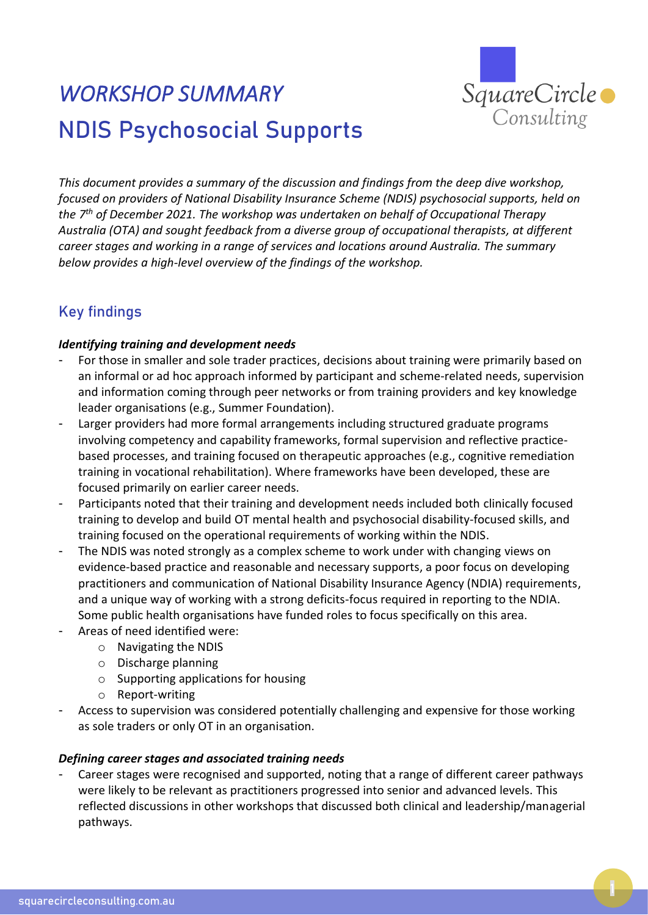

# *WORKSHOP SUMMARY*  NDIS Psychosocial Supports

*This document provides a summary of the discussion and findings from the deep dive workshop, focused on providers of National Disability Insurance Scheme (NDIS) psychosocial supports, held on the 7 th of December 2021. The workshop was undertaken on behalf of Occupational Therapy Australia (OTA) and sought feedback from a diverse group of occupational therapists, at different career stages and working in a range of services and locations around Australia. The summary below provides a high-level overview of the findings of the workshop.*

## Key findings

#### *Identifying training and development needs*

- For those in smaller and sole trader practices, decisions about training were primarily based on an informal or ad hoc approach informed by participant and scheme-related needs, supervision and information coming through peer networks or from training providers and key knowledge leader organisations (e.g., Summer Foundation).
- Larger providers had more formal arrangements including structured graduate programs involving competency and capability frameworks, formal supervision and reflective practicebased processes, and training focused on therapeutic approaches (e.g., cognitive remediation training in vocational rehabilitation). Where frameworks have been developed, these are focused primarily on earlier career needs.
- Participants noted that their training and development needs included both clinically focused training to develop and build OT mental health and psychosocial disability-focused skills, and training focused on the operational requirements of working within the NDIS.
- The NDIS was noted strongly as a complex scheme to work under with changing views on evidence-based practice and reasonable and necessary supports, a poor focus on developing practitioners and communication of National Disability Insurance Agency (NDIA) requirements, and a unique way of working with a strong deficits-focus required in reporting to the NDIA. Some public health organisations have funded roles to focus specifically on this area.
- Areas of need identified were:
	- o Navigating the NDIS
	- o Discharge planning
	- o Supporting applications for housing
	- o Report-writing
- Access to supervision was considered potentially challenging and expensive for those working as sole traders or only OT in an organisation.

#### *Defining career stages and associated training needs*

Career stages were recognised and supported, noting that a range of different career pathways were likely to be relevant as practitioners progressed into senior and advanced levels. This reflected discussions in other workshops that discussed both clinical and leadership/managerial pathways.